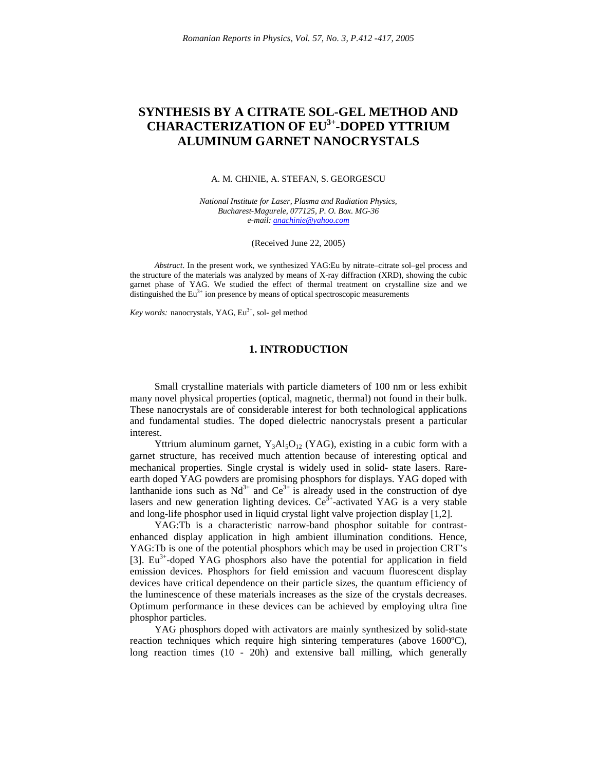# **SYNTHESIS BY A CITRATE SOL-GEL METHOD AND CHARACTERIZATION OF EU 3+ -DOPED YTTRIUM ALUMINUM GARNET NANOCRYSTALS**

#### A. M. CHINIE, A. STEFAN, S. GEORGESCU

*National Institute for Laser, Plasma and Radiation Physics, Bucharest-Magurele, 077125, P. O. Box. MG-36 e-mail: anachinie@yahoo.com*

(Received June 22, 2005)

*Abstract*. In the present work, we synthesized YAG:Eu by nitrate–citrate sol–gel process and the structure of the materials was analyzed by means of X-ray diffraction (XRD), showing the cubic garnet phase of YAG. We studied the effect of thermal treatment on crystalline size and we distinguished the  $Eu^{3+}$  ion presence by means of optical spectroscopic measurements

Key words: nanocrystals, YAG, Eu<sup>3+</sup>, sol- gel method

## **1. INTRODUCTION**

Small crystalline materials with particle diameters of 100 nm or less exhibit many novel physical properties (optical, magnetic, thermal) not found in their bulk. These nanocrystals are of considerable interest for both technological applications and fundamental studies. The doped dielectric nanocrystals present a particular interest.

Yttrium aluminum garnet,  $Y_3AI_5O_{12}$  (YAG), existing in a cubic form with a garnet structure, has received much attention because of interesting optical and mechanical properties. Single crystal is widely used in solid- state lasers. Rareearth doped YAG powders are promising phosphors for displays. YAG doped with lanthanide ions such as  $Nd^{3+}$  and  $Ce^{3+}$  is already used in the construction of dye lasers and new generation lighting devices.  $Ce^{3+}$ -activated YAG is a very stable and long-life phosphor used in liquid crystal light valve projection display [1,2].

YAG:Tb is a characteristic narrow-band phosphor suitable for contrastenhanced display application in high ambient illumination conditions. Hence, YAG:Tb is one of the potential phosphors which may be used in projection CRT's [3]. Eu<sup>3+</sup>-doped YAG phosphors also have the potential for application in field emission devices. Phosphors for field emission and vacuum fluorescent display devices have critical dependence on their particle sizes, the quantum efficiency of the luminescence of these materials increases as the size of the crystals decreases. Optimum performance in these devices can be achieved by employing ultra fine phosphor particles.

YAG phosphors doped with activators are mainly synthesized by solid-state reaction techniques which require high sintering temperatures (above 1600ºC), long reaction times (10 - 20h) and extensive ball milling, which generally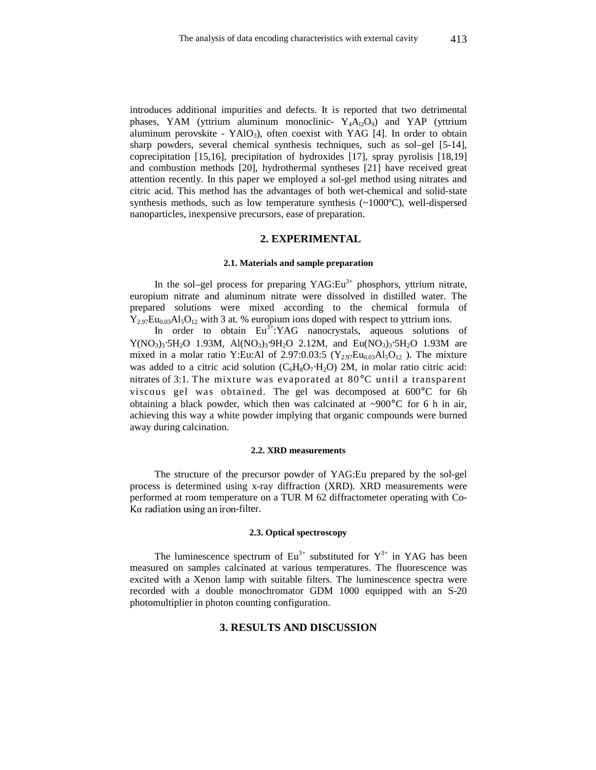introduces additional impurities and defects. It is reported that two detrimental phases, YAM (yttrium aluminum monoclinic-  $Y_4A_{12}O_9$ ) and YAP (yttrium aluminum perovskite - YAlO<sub>3</sub>), often coexist with YAG [4]. In order to obtain sharp powders, several chemical synthesis techniques, such as sol–gel [5-14], coprecipitation [15,16], precipitation of hydroxides [17], spray pyrolisis [18,19] and combustion methods [20], hydrothermal syntheses [21] have received great attention recently. In this paper we employed a sol-gel method using nitrates and citric acid. This method has the advantages of both wet-chemical and solid-state synthesis methods, such as low temperature synthesis (~1000ºC), well-dispersed nanoparticles, inexpensive precursors, ease of preparation.

### **2. EXPERIMENTAL**

#### **2.1. Materials and sample preparation**

In the sol–gel process for preparing  $YAG:Eu^{3+}$  phosphors, yttrium nitrate, europium nitrate and aluminum nitrate were dissolved in distilled water. The prepared solutions were mixed according to the chemical formula of  $Y_{2.97}Eu_{0.03}Al_5O_{12}$  with 3 at. % europium ions doped with respect to yttrium ions.

In order to obtain  $Eu^{3+}$ : YAG nanocrystals, aqueous solutions of  $Y(NO_3)$ <sub>3</sub>⋅5H<sub>2</sub>O 1.93M, Al(NO<sub>3</sub>)<sub>3</sub>⋅9H<sub>2</sub>O 2.12M, and Eu(NO<sub>3</sub>)<sub>3</sub>⋅5H<sub>2</sub>O 1.93M are mixed in a molar ratio Y:Eu:Al of 2.97:0.03:5 ( $Y_{2.97}Eu_{0.03}Al_5O_{12}$ ). The mixture was added to a citric acid solution  $(C_6H_8O_7·H_2O)$  2M, in molar ratio citric acid: nitrates of 3:1. The mixture was evaporated at 80°C until a transparent viscous gel was obtained. The gel was decomposed at 600°C for 6h obtaining a black powder, which then was calcinated at  $\sim 900^{\circ}$ C for 6 h in air, achieving this way a white powder implying that organic compounds were burned away during calcination.

#### **2.2. XRD measurements**

The structure of the precursor powder of YAG:Eu prepared by the sol-gel process is determined using x-ray diffraction (XRD). XRD measurements were performed at room temperature on a TUR M 62 diffractometer operating with Co- Ka radiation using an iron-filter.

#### **2.3. Optical spectroscopy**

The luminescence spectrum of  $Eu^{3+}$  substituted for  $Y^{3+}$  in YAG has been measured on samples calcinated at various temperatures. The fluorescence was excited with a Xenon lamp with suitable filters. The luminescence spectra were recorded with a double monochromator GDM 1000 equipped with an S-20 photomultiplier in photon counting configuration.

## **3. RESULTS AND DISCUSSION**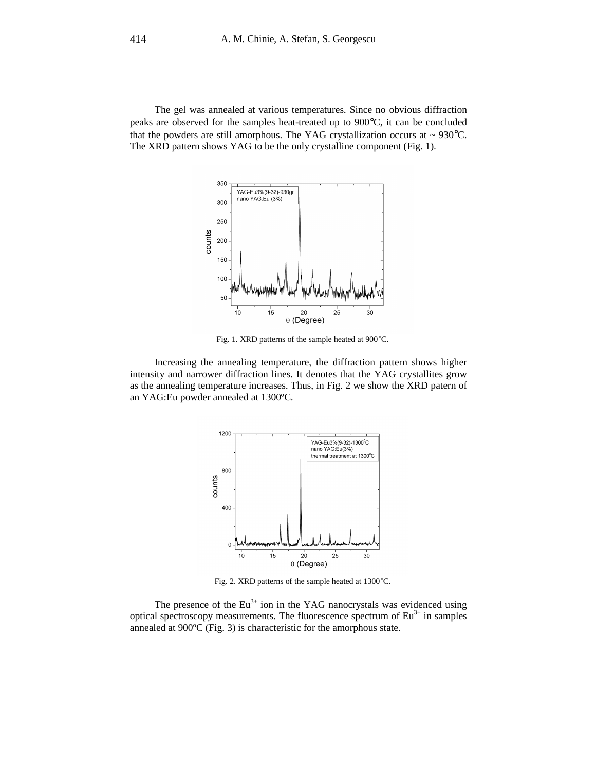The gel was annealed at various temperatures. Since no obvious diffraction peaks are observed for the samples heat-treated up to 900°C, it can be concluded that the powders are still amorphous. The YAG crystallization occurs at  $\sim$  930 $^{\circ}$ C. The XRD pattern shows YAG to be the only crystalline component (Fig. 1).



Fig. 1. XRD patterns of the sample heated at 900°C.

Increasing the annealing temperature, the diffraction pattern shows higher intensity and narrower diffraction lines. It denotes that the YAG crystallites grow as the annealing temperature increases. Thus, in Fig. 2 we show the XRD patern of an YAG:Eu powder annealed at 1300ºC.



Fig. 2. XRD patterns of the sample heated at 1300°C.

The presence of the  $Eu^{3+}$  ion in the YAG nanocrystals was evidenced using optical spectroscopy measurements. The fluorescence spectrum of  $Eu<sup>3+</sup>$  in samples annealed at 900ºC (Fig. 3) is characteristic for the amorphous state.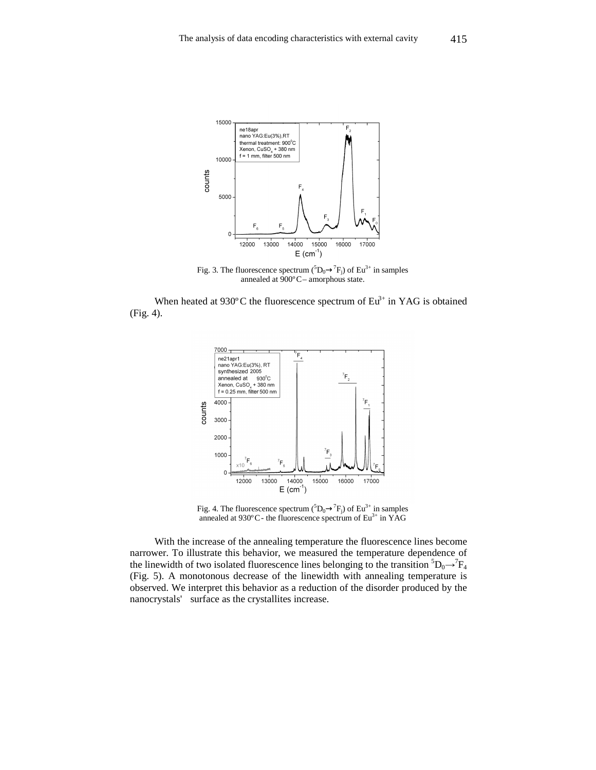

Fig. 3. The fluorescence spectrum  $({}^{5}D_0 \rightarrow {}^{7}F_j)$  of Eu<sup>3+</sup> in samples annealed at 900°C- amorphous state.

When heated at 930 $\degree$ C the fluorescence spectrum of Eu<sup>3+</sup> in YAG is obtained (Fig. 4).



Fig. 4. The fluorescence spectrum  $({}^{5}D_0 \rightarrow {}^{7}F_j)$  of Eu<sup>3+</sup> in samples annealed at  $930^{\circ}$ C - the fluorescence spectrum of Eu<sup>3+</sup> in YAG

With the increase of the annealing temperature the fluorescence lines become narrower. To illustrate this behavior, we measured the temperature dependence of the linewidth of two isolated fluorescence lines belonging to the transition  ${}^5D_0 \rightarrow {}^7F_4$ (Fig. 5). A monotonous decrease of the linewidth with annealing temperature is observed. We interpret this behavior as a reduction of the disorder produced by the nanocrystals' surface as the crystallites increase.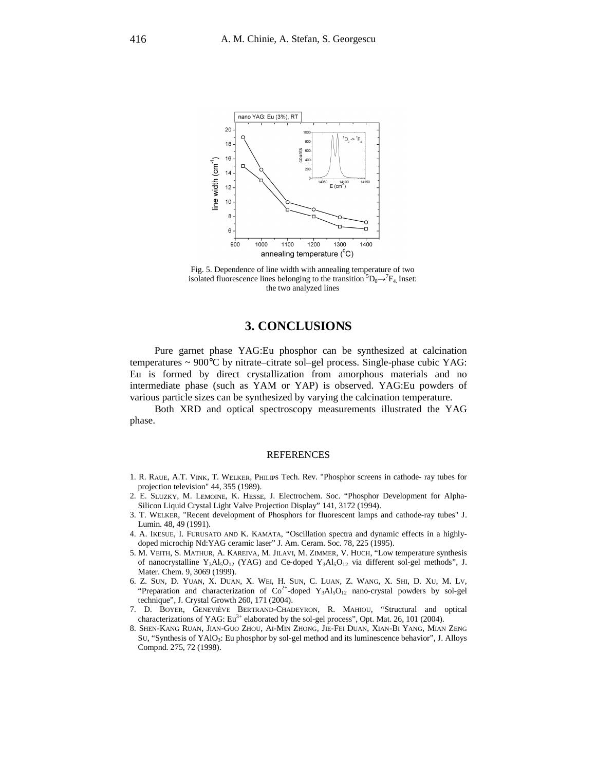

Fig. 5. Dependence of line width with annealing temperature of two isolated fluorescence lines belonging to the transition  ${}^5D_0 \rightarrow {}^7F_4$ . Inset: the two analyzed lines

## **3. CONCLUSIONS**

Pure garnet phase YAG:Eu phosphor can be synthesized at calcination temperatures ~ 900°C by nitrate–citrate sol–gel process. Single-phase cubic YAG: Eu is formed by direct crystallization from amorphous materials and no intermediate phase (such as YAM or YAP) is observed. YAG:Eu powders of various particle sizes can be synthesized by varying the calcination temperature.

Both XRD and optical spectroscopy measurements illustrated the YAG phase.

## REFERENCES

- 1. R. RAUE, A.T. VINK, T. WELKER, PHILIPs Tech. Rev. "Phosphor screens in cathode- ray tubes for projection television" 44, 355 (1989).
- 2. E. SLUZKY, M. LEMOINE, K. HESSE, J. Electrochem. Soc. "Phosphor Development for Alpha-Silicon Liquid Crystal Light Valve Projection Display" 141, 3172 (1994).
- 3. T. WELKER, "Recent development of Phosphors for fluorescent lamps and cathode-ray tubes" J. Lumin. 48, 49 (1991).
- 4. A. IKESUE, I. FURUSATO AND K. KAMATA, "Oscillation spectra and dynamic effects in a highlydoped microchip Nd:YAG ceramic laser" J. Am. Ceram. Soc. 78, 225 (1995).
- 5. M. VEITH, S. MATHUR, A. KAREIVA, M. JILAVI, M. ZIMMER, V. HUCH, "Low temperature synthesis of nanocrystalline Y<sub>3</sub>Al<sub>5</sub>O<sub>12</sub> (YAG) and Ce-doped Y<sub>3</sub>Al<sub>5</sub>O<sub>12</sub> via different sol-gel methods", J. Mater. Chem. 9, 3069 (1999).
- 6. Z. SUN, D. YUAN, X. DUAN, X. WEI, H. SUN, C. LUAN, Z. WANG, X. SHI, D. XU, M. LV, "Preparation and characterization of  $Co^{2+}$ -doped  $Y_3Al_5O_{12}$  nano-crystal powders by sol-gel technique", J. Crystal Growth 260, 171 (2004).
- 7. D. BOYER, GENEVIÈVE BERTRAND-CHADEYRON, R. MAHIOU, "Structural and optical characterizations of YAG: Eu<sup>3+</sup> elaborated by the sol-gel process", Opt. Mat. 26, 101 (2004).
- 8. SHEN-KANG RUAN, JIAN-GUO ZHOU, AI-MIN ZHONG, JIE-FEI DUAN, XIAN-BI YANG, MIAN ZENG SU, "Synthesis of YAlO<sup>3</sup> : Eu phosphor by sol-gel method and its luminescence behavior", J. Alloys Compnd. 275, 72 (1998).